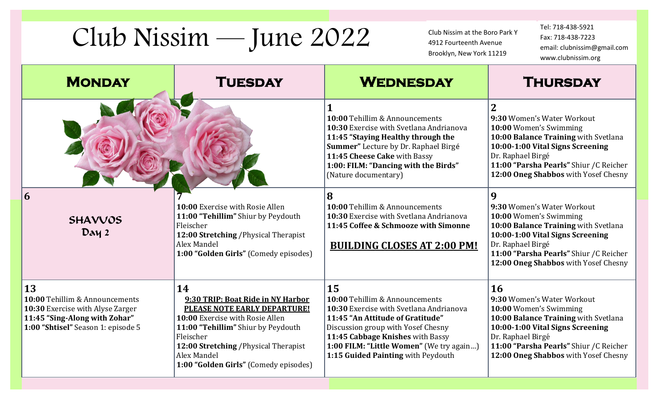## Club Nissim — June 2022

Club Nissim at the Boro Park Y 4912 Fourteenth Avenue Brooklyn, New York 11219

Tel: 718-438-5921 Fax: 718-438-7223 email: clubnissim@gmail.com www.clubnissim.org

| <b>MONDAY</b>                                                                                                                                   | <b>TUESDAY</b>                                                                                                                                                                                                                                                 | <b>WEDNESDAY</b>                                                                                                                                                                                                                                                                | <b>THURSDAY</b>                                                                                                                                                                                                                                            |
|-------------------------------------------------------------------------------------------------------------------------------------------------|----------------------------------------------------------------------------------------------------------------------------------------------------------------------------------------------------------------------------------------------------------------|---------------------------------------------------------------------------------------------------------------------------------------------------------------------------------------------------------------------------------------------------------------------------------|------------------------------------------------------------------------------------------------------------------------------------------------------------------------------------------------------------------------------------------------------------|
|                                                                                                                                                 |                                                                                                                                                                                                                                                                | 10:00 Tehillim & Announcements<br>10:30 Exercise with Svetlana Andrianova<br>11:45 "Staying Healthy through the<br>Summer" Lecture by Dr. Raphael Birgé<br>11:45 Cheese Cake with Bassy<br>1:00: FILM: "Dancing with the Birds"<br>(Nature documentary)                         | $\overline{2}$<br>9:30 Women's Water Workout<br>10:00 Women's Swimming<br>10:00 Balance Training with Svetlana<br>10:00-1:00 Vital Signs Screening<br>Dr. Raphael Birgé<br>11:00 "Parsha Pearls" Shiur / C Reicher<br>12:00 Oneg Shabbos with Yosef Chesny |
| 6<br><b>SHAVVOS</b><br>Day 2                                                                                                                    | 10:00 Exercise with Rosie Allen<br>11:00 "Tehillim" Shiur by Peydouth<br>Fleischer<br>12:00 Stretching / Physical Therapist<br>Alex Mandel<br>1:00 "Golden Girls" (Comedy episodes)                                                                            | 8<br>10:00 Tehillim & Announcements<br>10:30 Exercise with Svetlana Andrianova<br>11:45 Coffee & Schmooze with Simonne<br><b>BUILDING CLOSES AT 2:00 PM!</b>                                                                                                                    | 9<br>9:30 Women's Water Workout<br>10:00 Women's Swimming<br>10:00 Balance Training with Svetlana<br>10:00-1:00 Vital Signs Screening<br>Dr. Raphael Birgé<br>11:00 "Parsha Pearls" Shiur / C Reicher<br>12:00 Oneg Shabbos with Yosef Chesny              |
| 13<br>10:00 Tehillim & Announcements<br>10:30 Exercise with Alyse Zarger<br>11:45 "Sing-Along with Zohar"<br>1:00 "Shtisel" Season 1: episode 5 | 14<br>9:30 TRIP: Boat Ride in NY Harbor<br>PLEASE NOTE EARLY DEPARTURE!<br>10:00 Exercise with Rosie Allen<br>11:00 "Tehillim" Shiur by Peydouth<br>Fleischer<br>12:00 Stretching / Physical Therapist<br>Alex Mandel<br>1:00 "Golden Girls" (Comedy episodes) | 15<br>10:00 Tehillim & Announcements<br>10:30 Exercise with Svetlana Andrianova<br>11:45 "An Attitude of Gratitude"<br>Discussion group with Yosef Chesny<br>11:45 Cabbage Knishes with Bassy<br>1:00 FILM: "Little Women" (We try again)<br>1:15 Guided Painting with Peydouth | 16<br>9:30 Women's Water Workout<br>10:00 Women's Swimming<br>10:00 Balance Training with Svetlana<br>10:00-1:00 Vital Signs Screening<br>Dr. Raphael Birgé<br>11:00 "Parsha Pearls" Shiur / C Reicher<br>12:00 Oneg Shabbos with Yosef Chesny             |